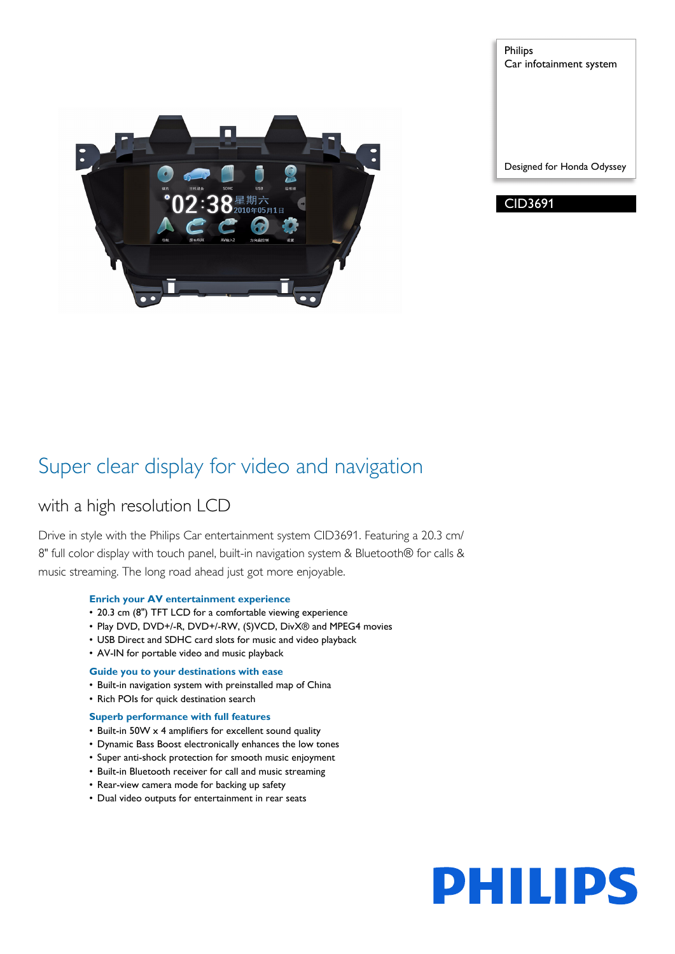

Philips Car infotainment system

Designed for Honda Odyssey

CID3691

## Super clear display for video and navigation

## with a high resolution LCD

Drive in style with the Philips Car entertainment system CID3691. Featuring a 20.3 cm/ 8" full color display with touch panel, built-in navigation system & Bluetooth® for calls & music streaming. The long road ahead just got more enjoyable.

## **Enrich your AV entertainment experience**

- 20.3 cm (8") TFT LCD for a comfortable viewing experience
- Play DVD, DVD+/-R, DVD+/-RW, (S)VCD, DivX® and MPEG4 movies
- USB Direct and SDHC card slots for music and video playback
- AV-IN for portable video and music playback

## **Guide you to your destinations with ease**

- Built-in navigation system with preinstalled map of China
- Rich POIs for quick destination search

## **Superb performance with full features**

- Built-in 50W x 4 amplifiers for excellent sound quality
- Dynamic Bass Boost electronically enhances the low tones
- Super anti-shock protection for smooth music enjoyment
- Built-in Bluetooth receiver for call and music streaming
- Rear-view camera mode for backing up safety
- Dual video outputs for entertainment in rear seats

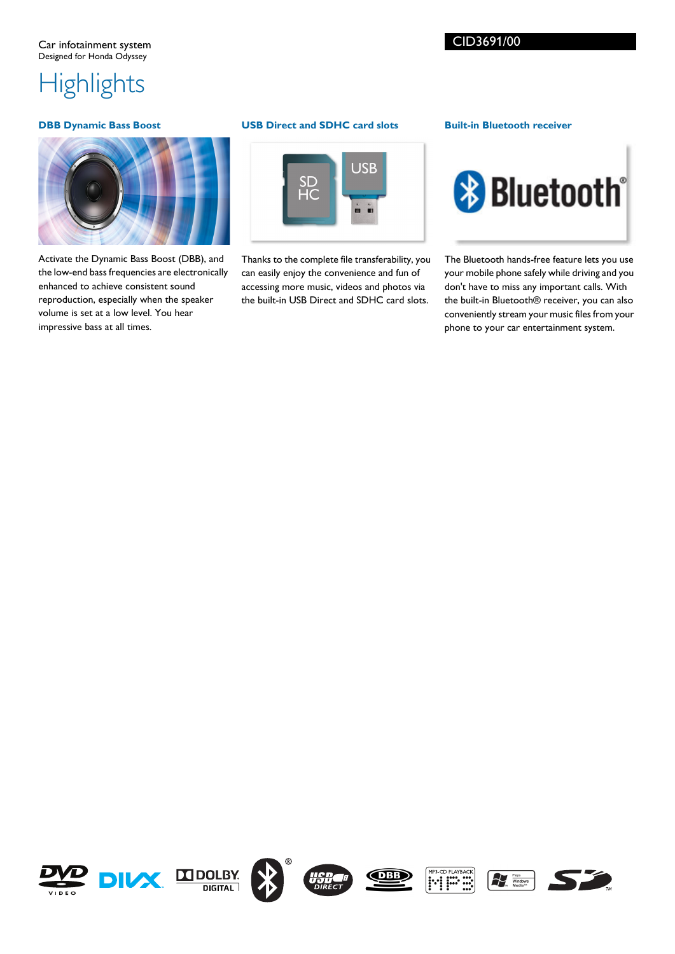# **Highlights**

## **DBB Dynamic Bass Boost**



Activate the Dynamic Bass Boost (DBB), and the low-end bass frequencies are electronically enhanced to achieve consistent sound reproduction, especially when the speaker volume is set at a low level. You hear impressive bass at all times.

## **USB Direct and SDHC card slots**



Thanks to the complete file transferability, you can easily enjoy the convenience and fun of accessing more music, videos and photos via the built-in USB Direct and SDHC card slots.

## **Built-in Bluetooth receiver**



The Bluetooth hands-free feature lets you use your mobile phone safely while driving and you don't have to miss any important calls. With the built-in Bluetooth® receiver, you can also conveniently stream your music files from your phone to your car entertainment system.